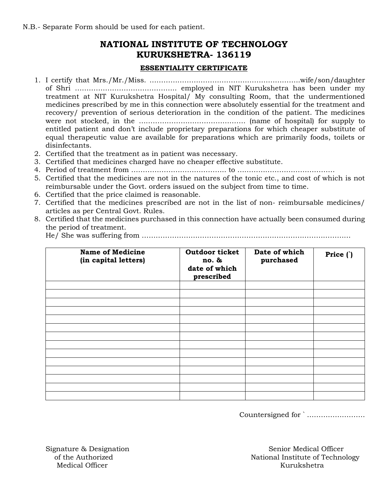## **NATIONAL INSTITUTE OF TECHNOLOGY KURUKSHETRA- 136119**

## **ESSENTIALITY CERTIFICATE**

- 1. I certify that Mrs./Mr./Miss. ………………………………………………………..wife/son/daughter of Shri …………………………………….. employed in NIT Kurukshetra has been under my treatment at NIT Kurukshetra Hospital/ My consulting Room, that the undermentioned medicines prescribed by me in this connection were absolutely essential for the treatment and recovery/ prevention of serious deterioration in the condition of the patient. The medicines were not stocked, in the ………………………………………. (name of hospital) for supply to entitled patient and don't include proprietary preparations for which cheaper substitute of equal therapeutic value are available for preparations which are primarily foods, toilets or disinfectants.
- 2. Certified that the treatment as in patient was necessary.
- 3. Certified that medicines charged have no cheaper effective substitute.
- 4. Period of treatment from ………………………………….. to ……………………………………
- 5. Certified that the medicines are not in the natures of the tonic etc., and cost of which is not reimbursable under the Govt. orders issued on the subject from time to time.
- 6. Certified that the price claimed is reasonable.
- 7. Certified that the medicines prescribed are not in the list of non- reimbursable medicines/ articles as per Central Govt. Rules.
- 8. Certified that the medicines purchased in this connection have actually been consumed during the period of treatment.

He/ She was suffering from ………………………………………………………………………………

| <b>Name of Medicine</b><br>(in capital letters) | Outdoor ticket<br>no. &<br>date of which<br>prescribed | Date of which<br>purchased | Price () |
|-------------------------------------------------|--------------------------------------------------------|----------------------------|----------|
|                                                 |                                                        |                            |          |
|                                                 |                                                        |                            |          |
|                                                 |                                                        |                            |          |
|                                                 |                                                        |                            |          |
|                                                 |                                                        |                            |          |
|                                                 |                                                        |                            |          |
|                                                 |                                                        |                            |          |
|                                                 |                                                        |                            |          |
|                                                 |                                                        |                            |          |
|                                                 |                                                        |                            |          |
|                                                 |                                                        |                            |          |
|                                                 |                                                        |                            |          |
|                                                 |                                                        |                            |          |

Countersigned for ` …………………….

Medical Officer National According to the Municipality of the Kurukshetra

Signature & Designation Senior Medical Officer<br>of the Authorized Mational Institute of Techno National Institute of Technology